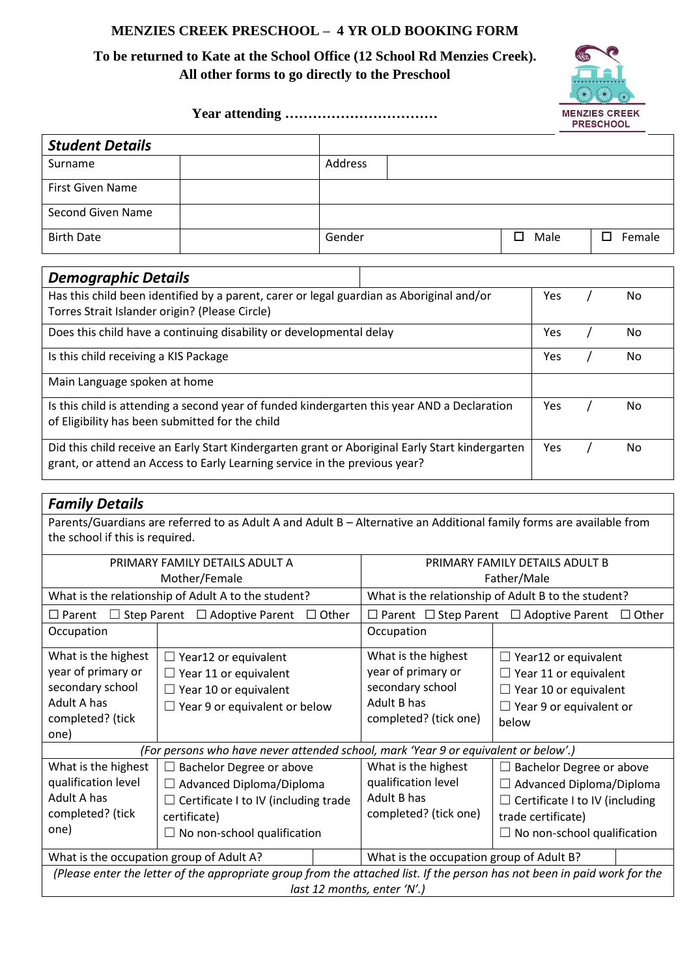### **MENZIES CREEK PRESCHOOL – 4 YR OLD BOOKING FORM**

# **To be returned to Kate at the School Office (12 School Rd Menzies Creek). All other forms to go directly to the Preschool**



#### **Year attending ……………………………**

| <b>Student Details</b>                                                                          |  |         |  |     |      |             |
|-------------------------------------------------------------------------------------------------|--|---------|--|-----|------|-------------|
| Surname                                                                                         |  | Address |  |     |      |             |
| <b>First Given Name</b>                                                                         |  |         |  |     |      |             |
| Second Given Name                                                                               |  |         |  |     |      |             |
| <b>Birth Date</b>                                                                               |  | Gender  |  | □   | Male | П<br>Female |
|                                                                                                 |  |         |  |     |      |             |
| <b>Demographic Details</b>                                                                      |  |         |  |     |      |             |
| Has this child been identified by a parent, carer or legal guardian as Aboriginal and/or        |  |         |  | Yes | No   |             |
| Torres Strait Islander origin? (Please Circle)                                                  |  |         |  |     |      |             |
| Does this child have a continuing disability or developmental delay                             |  |         |  |     | Yes  | No          |
| Is this child receiving a KIS Package                                                           |  |         |  |     | Yes  | No          |
| Main Language spoken at home                                                                    |  |         |  |     |      |             |
| Is this child is attending a second year of funded kindergarten this year AND a Declaration     |  |         |  | Yes | No   |             |
| of Eligibility has been submitted for the child                                                 |  |         |  |     |      |             |
| Did this child receive an Early Start Kindergarten grant or Aboriginal Early Start kindergarten |  |         |  | Yes | No   |             |
| grant, or attend an Access to Early Learning service in the previous year?                      |  |         |  |     |      |             |

## *Family Details*

Parents/Guardians are referred to as Adult A and Adult B – Alternative an Additional family forms are available from the school if this is required.

| PRIMARY FAMILY DETAILS ADULT A<br>Mother/Female                                                                           |                                             |                                                                         | PRIMARY FAMILY DETAILS ADULT B<br>Father/Male |                                       |  |  |
|---------------------------------------------------------------------------------------------------------------------------|---------------------------------------------|-------------------------------------------------------------------------|-----------------------------------------------|---------------------------------------|--|--|
| What is the relationship of Adult A to the student?                                                                       |                                             | What is the relationship of Adult B to the student?                     |                                               |                                       |  |  |
| $\Box$ Step Parent $\Box$ Adoptive Parent<br>$\Box$ Other<br>$\square$ Parent                                             |                                             | $\Box$ Parent $\Box$ Step Parent $\Box$ Adoptive Parent<br>$\Box$ Other |                                               |                                       |  |  |
| Occupation                                                                                                                |                                             |                                                                         | Occupation                                    |                                       |  |  |
| What is the highest                                                                                                       | $\Box$ Year12 or equivalent                 |                                                                         | What is the highest                           | $\Box$ Year12 or equivalent           |  |  |
| year of primary or                                                                                                        | $\Box$ Year 11 or equivalent                |                                                                         | year of primary or                            | $\Box$ Year 11 or equivalent          |  |  |
| secondary school                                                                                                          | $\Box$ Year 10 or equivalent                |                                                                         | secondary school                              | $\Box$ Year 10 or equivalent          |  |  |
| Adult A has                                                                                                               | $\Box$ Year 9 or equivalent or below        |                                                                         | Adult B has                                   | $\Box$ Year 9 or equivalent or        |  |  |
| completed? (tick                                                                                                          |                                             |                                                                         | completed? (tick one)                         | below                                 |  |  |
| one)                                                                                                                      |                                             |                                                                         |                                               |                                       |  |  |
| (For persons who have never attended school, mark 'Year 9 or equivalent or below'.)                                       |                                             |                                                                         |                                               |                                       |  |  |
| What is the highest                                                                                                       | $\Box$ Bachelor Degree or above             |                                                                         | What is the highest                           | $\Box$ Bachelor Degree or above       |  |  |
| qualification level                                                                                                       | $\Box$ Advanced Diploma/Diploma             |                                                                         | qualification level                           | $\Box$ Advanced Diploma/Diploma       |  |  |
| Adult A has                                                                                                               | $\Box$ Certificate I to IV (including trade |                                                                         | Adult B has                                   | $\Box$ Certificate I to IV (including |  |  |
| completed? (tick                                                                                                          | certificate)                                |                                                                         | completed? (tick one)                         | trade certificate)                    |  |  |
| one)                                                                                                                      | $\Box$ No non-school qualification          |                                                                         |                                               | $\Box$ No non-school qualification    |  |  |
| What is the occupation group of Adult A?                                                                                  |                                             |                                                                         | What is the occupation group of Adult B?      |                                       |  |  |
| (Please enter the letter of the appropriate group from the attached list. If the person has not been in paid work for the |                                             |                                                                         |                                               |                                       |  |  |
| last 12 months, enter 'N'.)                                                                                               |                                             |                                                                         |                                               |                                       |  |  |